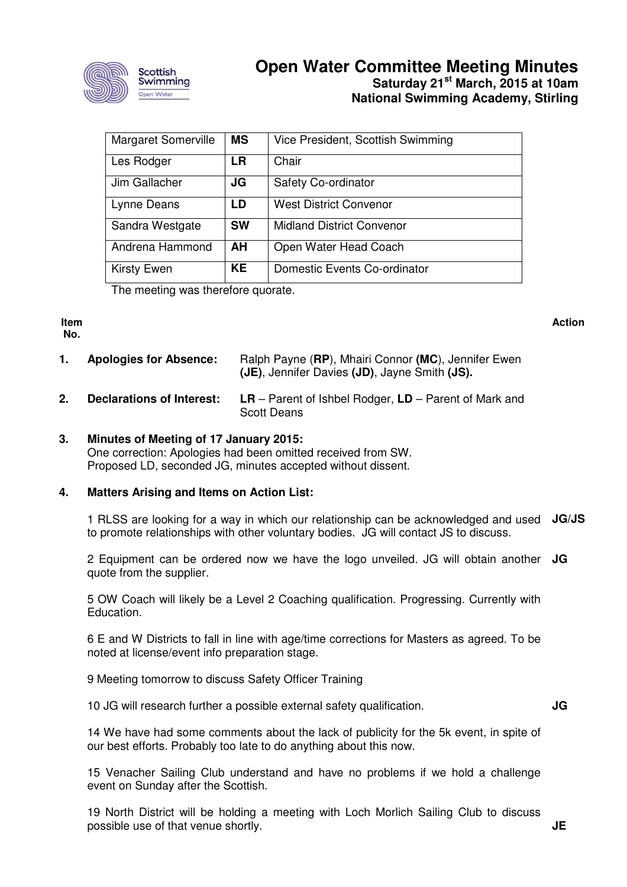

## **Open Water Committee Meeting Minutes Saturday 21st March, 2015 at 10am National Swimming Academy, Stirling**

| <b>Margaret Somerville</b>        | <b>MS</b> | Vice President, Scottish Swimming |  |  |
|-----------------------------------|-----------|-----------------------------------|--|--|
| Les Rodger                        | <b>LR</b> | Chair                             |  |  |
| Jim Gallacher                     | JG        | Safety Co-ordinator               |  |  |
| Lynne Deans                       | LD        | <b>West District Convenor</b>     |  |  |
| Sandra Westgate                   | <b>SW</b> | <b>Midland District Convenor</b>  |  |  |
| Andrena Hammond                   | AH        | Open Water Head Coach             |  |  |
| <b>Kirsty Ewen</b>                | <b>KE</b> | Domestic Events Co-ordinator      |  |  |
| The meather was thoughous susuate |           |                                   |  |  |

The meeting was therefore quorate.

#### **Item No.**

**Action**

- **1. Apologies for Absence:** Ralph Payne (**RP**), Mhairi Connor **(MC**), Jennifer Ewen **(JE)**, Jennifer Davies **(JD)**, Jayne Smith **(JS).**
- **2. Declarations of Interest: LR**  Parent of Ishbel Rodger, **LD** Parent of Mark and Scott Deans

## **3. Minutes of Meeting of 17 January 2015:**

One correction: Apologies had been omitted received from SW. Proposed LD, seconded JG, minutes accepted without dissent.

## **4. Matters Arising and Items on Action List:**

1 RLSS are looking for a way in which our relationship can be acknowledged and used **JG/JS**  to promote relationships with other voluntary bodies. JG will contact JS to discuss.

2 Equipment can be ordered now we have the logo unveiled. JG will obtain another **JG**  quote from the supplier.

5 OW Coach will likely be a Level 2 Coaching qualification. Progressing. Currently with Education.

6 E and W Districts to fall in line with age/time corrections for Masters as agreed. To be noted at license/event info preparation stage.

9 Meeting tomorrow to discuss Safety Officer Training

10 JG will research further a possible external safety qualification.

**JG** 

14 We have had some comments about the lack of publicity for the 5k event, in spite of our best efforts. Probably too late to do anything about this now.

15 Venacher Sailing Club understand and have no problems if we hold a challenge event on Sunday after the Scottish.

19 North District will be holding a meeting with Loch Morlich Sailing Club to discuss possible use of that venue shortly.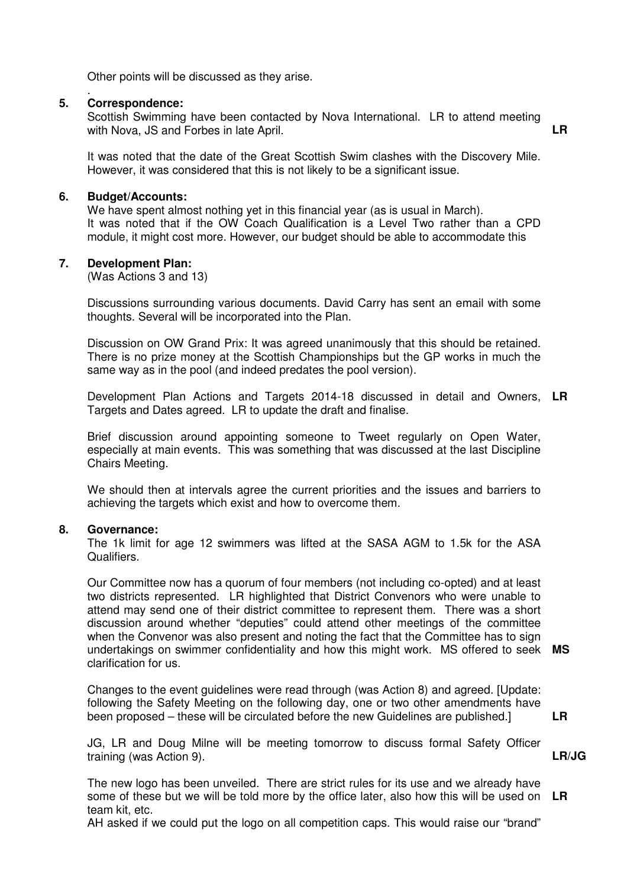Other points will be discussed as they arise.

#### . **5. Correspondence:**

Scottish Swimming have been contacted by Nova International. LR to attend meeting with Nova, JS and Forbes in late April. **LR** 

It was noted that the date of the Great Scottish Swim clashes with the Discovery Mile. However, it was considered that this is not likely to be a significant issue.

#### **6. Budget/Accounts:**

We have spent almost nothing yet in this financial year (as is usual in March). It was noted that if the OW Coach Qualification is a Level Two rather than a CPD module, it might cost more. However, our budget should be able to accommodate this

#### **7. Development Plan:**

(Was Actions 3 and 13)

Discussions surrounding various documents. David Carry has sent an email with some thoughts. Several will be incorporated into the Plan.

Discussion on OW Grand Prix: It was agreed unanimously that this should be retained. There is no prize money at the Scottish Championships but the GP works in much the same way as in the pool (and indeed predates the pool version).

Development Plan Actions and Targets 2014-18 discussed in detail and Owners, **LR**  Targets and Dates agreed. LR to update the draft and finalise.

Brief discussion around appointing someone to Tweet regularly on Open Water, especially at main events. This was something that was discussed at the last Discipline Chairs Meeting.

We should then at intervals agree the current priorities and the issues and barriers to achieving the targets which exist and how to overcome them.

#### **8. Governance:**

The 1k limit for age 12 swimmers was lifted at the SASA AGM to 1.5k for the ASA Qualifiers.

Our Committee now has a quorum of four members (not including co-opted) and at least two districts represented. LR highlighted that District Convenors who were unable to attend may send one of their district committee to represent them. There was a short discussion around whether "deputies" could attend other meetings of the committee when the Convenor was also present and noting the fact that the Committee has to sign undertakings on swimmer confidentiality and how this might work. MS offered to seek **MS**  clarification for us.

Changes to the event guidelines were read through (was Action 8) and agreed. [Update: following the Safety Meeting on the following day, one or two other amendments have been proposed – these will be circulated before the new Guidelines are published.]

**LR** 

**LR/JG** 

JG, LR and Doug Milne will be meeting tomorrow to discuss formal Safety Officer training (was Action 9).

The new logo has been unveiled. There are strict rules for its use and we already have some of these but we will be told more by the office later, also how this will be used on **LR** team kit, etc.

AH asked if we could put the logo on all competition caps. This would raise our "brand"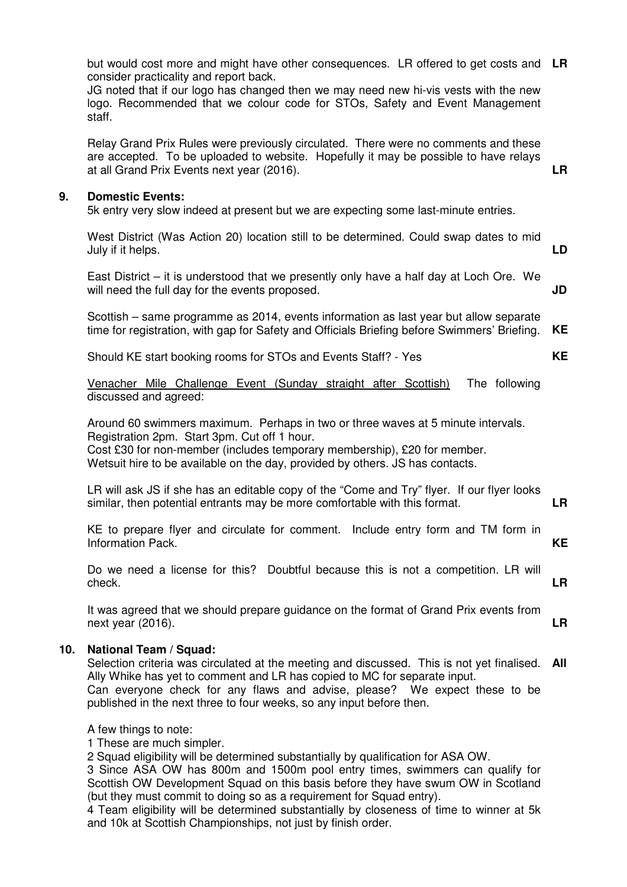but would cost more and might have other consequences. LR offered to get costs and **LR** consider practicality and report back. JG noted that if our logo has changed then we may need new hi-vis vests with the new logo. Recommended that we colour code for STOs, Safety and Event Management staff. Relay Grand Prix Rules were previously circulated. There were no comments and these are accepted. To be uploaded to website. Hopefully it may be possible to have relays at all Grand Prix Events next year (2016). **LR 9. Domestic Events:**  5k entry very slow indeed at present but we are expecting some last-minute entries. West District (Was Action 20) location still to be determined. Could swap dates to mid July if it helps. East District – it is understood that we presently only have a half day at Loch Ore. We will need the full day for the events proposed. Scottish – same programme as 2014, events information as last year but allow separate time for registration, with gap for Safety and Officials Briefing before Swimmers' Briefing. Should KE start booking rooms for STOs and Events Staff? - Yes Venacher Mile Challenge Event (Sunday straight after Scottish) The following discussed and agreed: Around 60 swimmers maximum. Perhaps in two or three waves at 5 minute intervals. Registration 2pm. Start 3pm. Cut off 1 hour. Cost £30 for non-member (includes temporary membership), £20 for member. Wetsuit hire to be available on the day, provided by others. JS has contacts. LR will ask JS if she has an editable copy of the "Come and Try" flyer. If our flyer looks similar, then potential entrants may be more comfortable with this format. KE to prepare flyer and circulate for comment. Include entry form and TM form in Information Pack. Do we need a license for this? Doubtful because this is not a competition. LR will check. It was agreed that we should prepare guidance on the format of Grand Prix events from next year (2016). **LD JD KE KE LR KE LR LR 10. National Team / Squad:** Selection criteria was circulated at the meeting and discussed. This is not yet finalised. Ally Whike has yet to comment and LR has copied to MC for separate input. Can everyone check for any flaws and advise, please? We expect these to be published in the next three to four weeks, so any input before then. A few things to note: 1 These are much simpler. 2 Squad eligibility will be determined substantially by qualification for ASA OW. 3 Since ASA OW has 800m and 1500m pool entry times, swimmers can qualify for **All** 

Scottish OW Development Squad on this basis before they have swum OW in Scotland (but they must commit to doing so as a requirement for Squad entry).

4 Team eligibility will be determined substantially by closeness of time to winner at 5k and 10k at Scottish Championships, not just by finish order.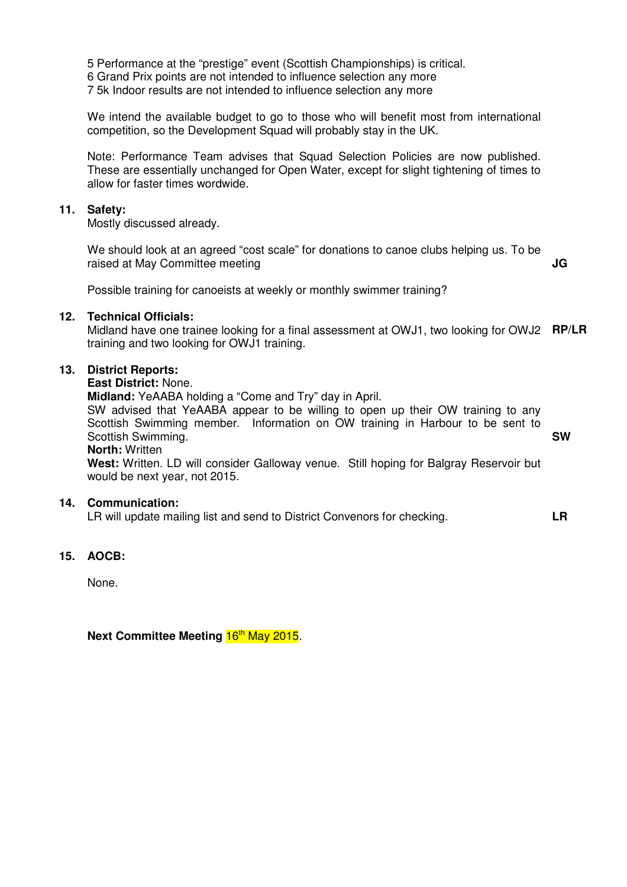5 Performance at the "prestige" event (Scottish Championships) is critical.

6 Grand Prix points are not intended to influence selection any more

7 5k Indoor results are not intended to influence selection any more

We intend the available budget to go to those who will benefit most from international competition, so the Development Squad will probably stay in the UK.

Note: Performance Team advises that Squad Selection Policies are now published. These are essentially unchanged for Open Water, except for slight tightening of times to allow for faster times wordwide.

#### **11. Safety:**

Mostly discussed already.

We should look at an agreed "cost scale" for donations to canoe clubs helping us. To be raised at May Committee meeting **JG** 

Possible training for canoeists at weekly or monthly swimmer training?

#### **12. Technical Officials:**

Midland have one trainee looking for a final assessment at OWJ1, two looking for OWJ2 **RP/LR**  training and two looking for OWJ1 training.

#### **13. District Reports:**

#### **East District:** None.

**Midland:** YeAABA holding a "Come and Try" day in April.

SW advised that YeAABA appear to be willing to open up their OW training to any Scottish Swimming member. Information on OW training in Harbour to be sent to Scottish Swimming. **SW** 

#### **North:** Written

**West:** Written. LD will consider Galloway venue. Still hoping for Balgray Reservoir but would be next year, not 2015.

### **14. Communication:**

LR will update mailing list and send to District Convenors for checking. **LR** 

#### **15. AOCB:**

None.

**Next Committee Meeting 16<sup>th</sup> May 2015.**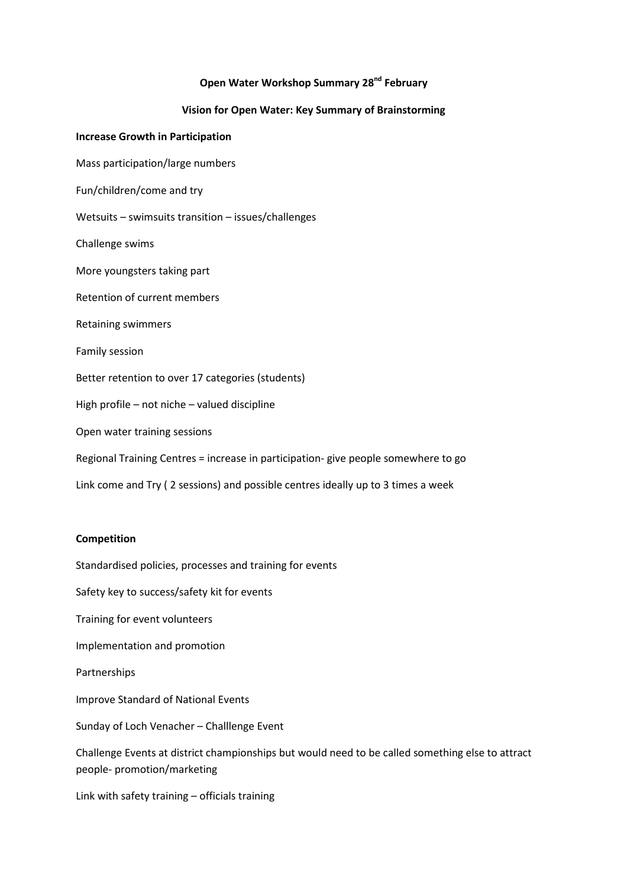#### Open Water Workshop Summary 28<sup>nd</sup> February

## Vision for Open Water: Key Summary of Brainstorming

#### Increase Growth in Participation

Mass participation/large numbers

Fun/children/come and try

Wetsuits – swimsuits transition – issues/challenges

Challenge swims

More youngsters taking part

Retention of current members

Retaining swimmers

Family session

Better retention to over 17 categories (students)

High profile – not niche – valued discipline

Open water training sessions

Regional Training Centres = increase in participation- give people somewhere to go

Link come and Try ( 2 sessions) and possible centres ideally up to 3 times a week

#### Competition

Standardised policies, processes and training for events

Safety key to success/safety kit for events

Training for event volunteers

Implementation and promotion

Partnerships

Improve Standard of National Events

Sunday of Loch Venacher – Challlenge Event

Challenge Events at district championships but would need to be called something else to attract people- promotion/marketing

Link with safety training – officials training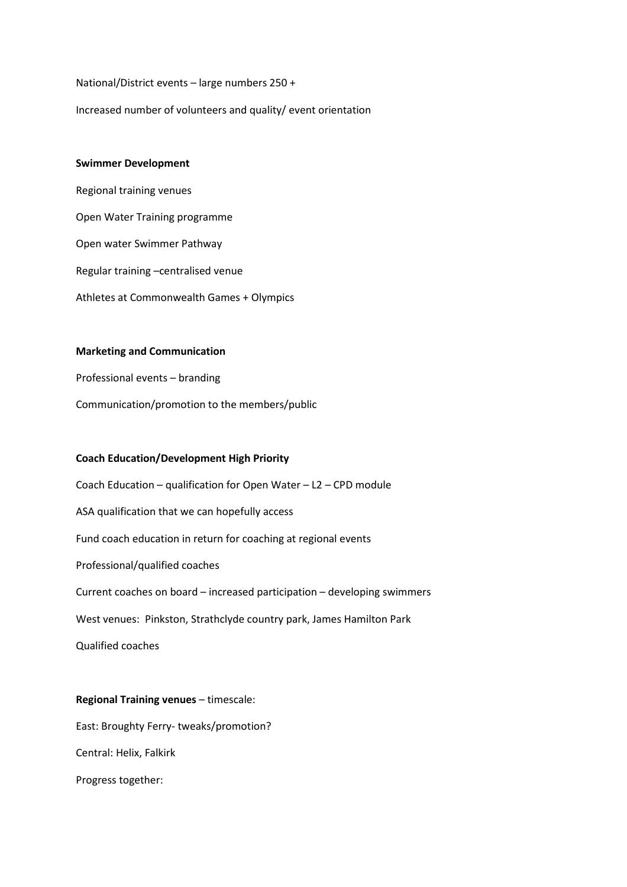National/District events – large numbers 250 +

Increased number of volunteers and quality/ event orientation

#### Swimmer Development

Regional training venues Open Water Training programme Open water Swimmer Pathway Regular training –centralised venue Athletes at Commonwealth Games + Olympics

#### Marketing and Communication

Professional events – branding Communication/promotion to the members/public

#### Coach Education/Development High Priority

Coach Education – qualification for Open Water – L2 – CPD module ASA qualification that we can hopefully access Fund coach education in return for coaching at regional events Professional/qualified coaches Current coaches on board – increased participation – developing swimmers West venues: Pinkston, Strathclyde country park, James Hamilton Park Qualified coaches

# Regional Training venues – timescale: East: Broughty Ferry- tweaks/promotion? Central: Helix, Falkirk Progress together: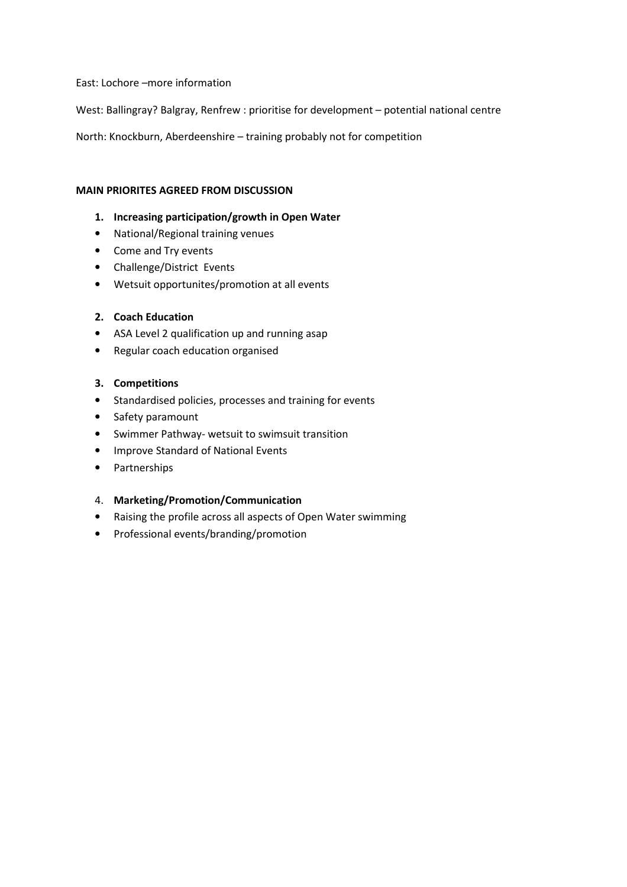East: Lochore –more information

West: Ballingray? Balgray, Renfrew : prioritise for development – potential national centre

North: Knockburn, Aberdeenshire – training probably not for competition

#### MAIN PRIORITES AGREED FROM DISCUSSION

#### 1. Increasing participation/growth in Open Water

- National/Regional training venues
- Come and Try events
- Challenge/District Events
- Wetsuit opportunites/promotion at all events

#### 2. Coach Education

- ASA Level 2 qualification up and running asap
- Regular coach education organised

#### 3. Competitions

- Standardised policies, processes and training for events
- Safety paramount
- Swimmer Pathway- wetsuit to swimsuit transition
- Improve Standard of National Events
- Partnerships

#### 4. Marketing/Promotion/Communication

- Raising the profile across all aspects of Open Water swimming
- Professional events/branding/promotion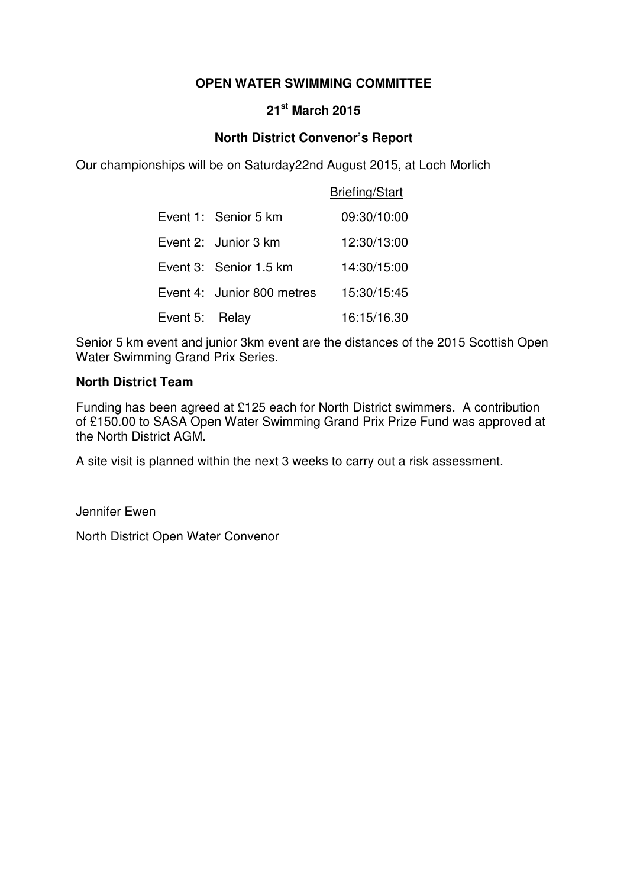## **OPEN WATER SWIMMING COMMITTEE**

## **21st March 2015**

## **North District Convenor's Report**

Our championships will be on Saturday22nd August 2015, at Loch Morlich

|                |                            | <b>Briefing/Start</b> |
|----------------|----------------------------|-----------------------|
|                | Event 1: Senior 5 km       | 09:30/10:00           |
|                | Event 2: Junior 3 km       | 12:30/13:00           |
|                | Event 3: Senior 1.5 km     | 14:30/15:00           |
|                | Event 4: Junior 800 metres | 15:30/15:45           |
| Event 5: Relay |                            | 16:15/16.30           |

Senior 5 km event and junior 3km event are the distances of the 2015 Scottish Open Water Swimming Grand Prix Series.

## **North District Team**

Funding has been agreed at £125 each for North District swimmers. A contribution of £150.00 to SASA Open Water Swimming Grand Prix Prize Fund was approved at the North District AGM.

A site visit is planned within the next 3 weeks to carry out a risk assessment.

Jennifer Ewen

North District Open Water Convenor